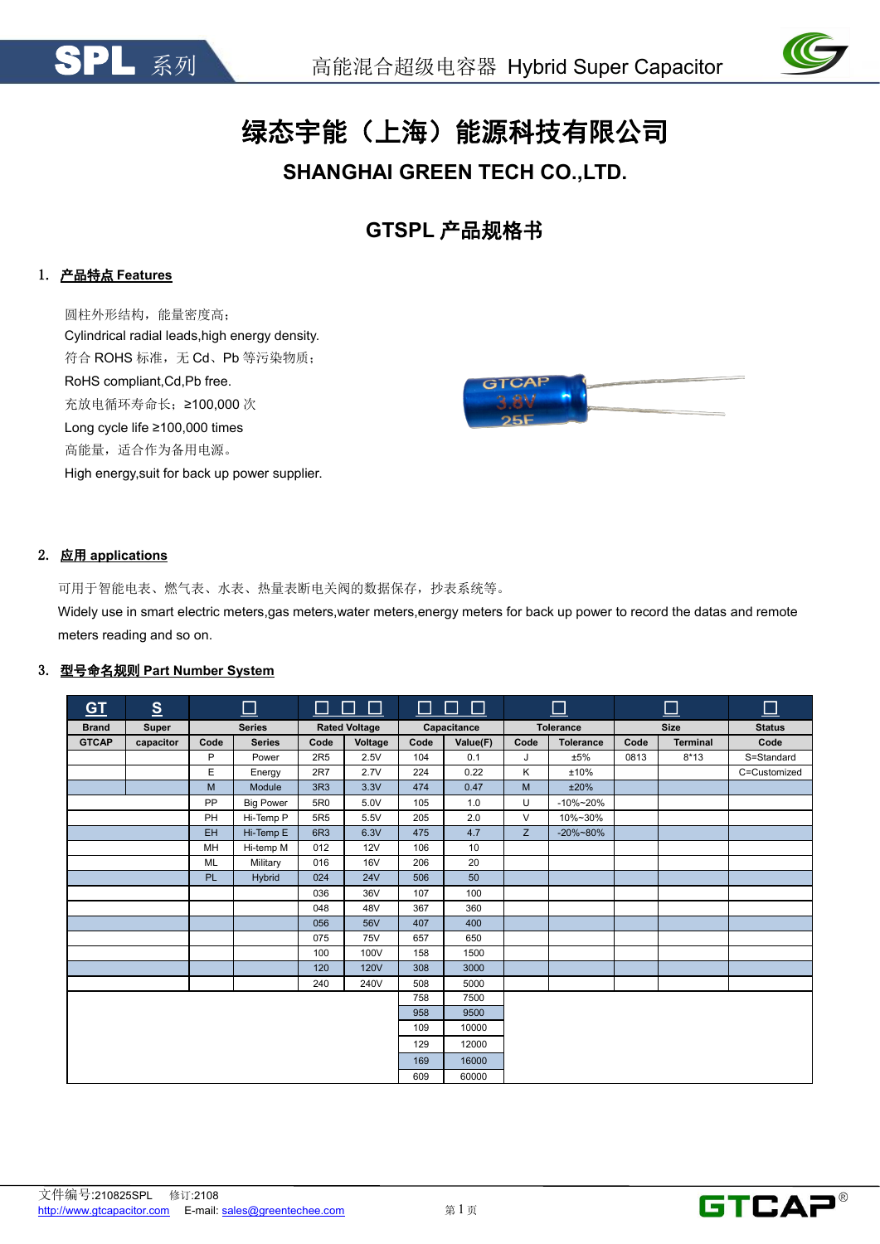



# 绿态宇能(上海)能源科技有限公司

# **SHANGHAI GREEN TECH CO.,LTD.**

**GTSPL** 产品规格书

# 1. 产品特点 **Features**

圆柱外形结构,能量密度高; Cylindrical radial leads,high energy density. 符合 ROHS 标准,无 Cd、Pb 等污染物质; RoHS compliant,Cd,Pb free. 充放电循环寿命长;≥100,000 次 Long cycle life ≥100,000 times 高能量,适合作为备用电源。 High energy,suit for back up power supplier.



# 2. 应用 **applications**

可用于智能电表、燃气表、水表、热量表断电关阀的数据保存,抄表系统等。

Widely use in smart electric meters,gas meters,water meters,energy meters for back up power to record the datas and remote meters reading and so on.

# 3. 型号命名规则 **Part Number System**

| G <sub>T</sub> | $\underline{\underline{\mathbf{S}}}$ |           | $\Box$           |                 | $\Box$ $\Box$ $\Box$ |      | $\Box$ $\Box$ $\Box$ |      | $\Box$           |      | $\Box$          | $\Box$        |
|----------------|--------------------------------------|-----------|------------------|-----------------|----------------------|------|----------------------|------|------------------|------|-----------------|---------------|
| <b>Brand</b>   | Super                                |           | <b>Series</b>    |                 | <b>Rated Voltage</b> |      | Capacitance          |      | <b>Tolerance</b> |      | <b>Size</b>     | <b>Status</b> |
| <b>GTCAP</b>   | capacitor                            | Code      | <b>Series</b>    | Code            | Voltage              | Code | Value(F)             | Code | <b>Tolerance</b> | Code | <b>Terminal</b> | Code          |
|                |                                      | P         | Power            | 2R5             | 2.5V                 | 104  | 0.1                  | J    | ±5%              | 0813 | $8*13$          | S=Standard    |
|                |                                      | E         | Energy           | 2R7             | 2.7V                 | 224  | 0.22                 | Κ    | ±10%             |      |                 | C=Customized  |
|                |                                      | M         | Module           | 3R3             | 3.3V                 | 474  | 0.47                 | M    | ±20%             |      |                 |               |
|                |                                      | PP        | <b>Big Power</b> | 5R0             | 5.0V                 | 105  | 1.0                  | U    | $-10\% - 20\%$   |      |                 |               |
|                |                                      | PH        | Hi-Temp P        | 5R <sub>5</sub> | 5.5V                 | 205  | 2.0                  | V    | 10%~30%          |      |                 |               |
|                |                                      | EH        | Hi-Temp E        | 6R3             | 6.3V                 | 475  | 4.7                  | Z    | $-20\% - 80\%$   |      |                 |               |
|                |                                      | MH        | Hi-temp M        | 012             | 12V                  | 106  | 10                   |      |                  |      |                 |               |
|                |                                      | <b>ML</b> | Military         | 016             | <b>16V</b>           | 206  | 20                   |      |                  |      |                 |               |
|                |                                      | <b>PL</b> | Hybrid           | 024             | <b>24V</b>           | 506  | 50                   |      |                  |      |                 |               |
|                |                                      |           |                  | 036             | 36V                  | 107  | 100                  |      |                  |      |                 |               |
|                |                                      |           |                  | 048             | 48V                  | 367  | 360                  |      |                  |      |                 |               |
|                |                                      |           |                  | 056             | 56V                  | 407  | 400                  |      |                  |      |                 |               |
|                |                                      |           |                  | 075             | <b>75V</b>           | 657  | 650                  |      |                  |      |                 |               |
|                |                                      |           |                  | 100             | 100V                 | 158  | 1500                 |      |                  |      |                 |               |
|                |                                      |           |                  | 120             | <b>120V</b>          | 308  | 3000                 |      |                  |      |                 |               |
|                |                                      |           |                  | 240             | 240V                 | 508  | 5000                 |      |                  |      |                 |               |
|                |                                      |           |                  |                 |                      | 758  | 7500                 |      |                  |      |                 |               |
|                |                                      |           |                  |                 |                      | 958  | 9500                 |      |                  |      |                 |               |
|                |                                      |           |                  |                 |                      | 109  | 10000                |      |                  |      |                 |               |
|                |                                      |           |                  |                 |                      | 129  | 12000                |      |                  |      |                 |               |
|                |                                      |           |                  |                 |                      | 169  | 16000                |      |                  |      |                 |               |
|                |                                      |           |                  |                 |                      | 609  | 60000                |      |                  |      |                 |               |



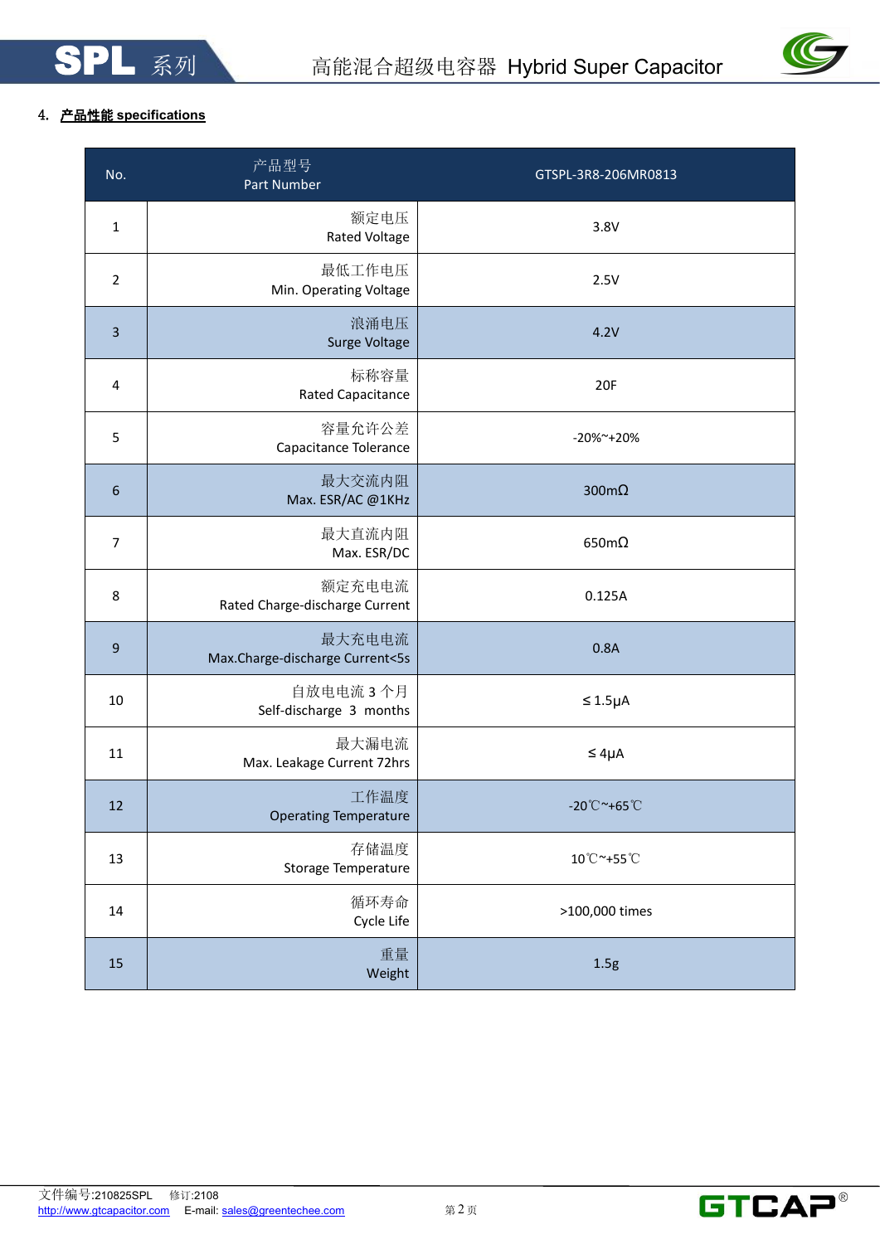

# 4. 产品性能 **specifications**

| No.              | 产品型号<br>Part Number                       | GTSPL-3R8-206MR0813               |
|------------------|-------------------------------------------|-----------------------------------|
| $\mathbf 1$      | 额定电压<br><b>Rated Voltage</b>              | 3.8V                              |
| $\overline{2}$   | 最低工作电压<br>Min. Operating Voltage          | 2.5V                              |
| $\overline{3}$   | 浪涌电压<br>Surge Voltage                     | 4.2V                              |
| 4                | 标称容量<br>Rated Capacitance                 | 20F                               |
| 5                | 容量允许公差<br>Capacitance Tolerance           | -20%~+20%                         |
| $\boldsymbol{6}$ | 最大交流内阻<br>Max. ESR/AC @1KHz               | 300 $m\Omega$                     |
| $\overline{7}$   | 最大直流内阻<br>Max. ESR/DC                     | $650m\Omega$                      |
| 8                | 额定充电电流<br>Rated Charge-discharge Current  | 0.125A                            |
| $\boldsymbol{9}$ | 最大充电电流<br>Max.Charge-discharge Current<5s | 0.8A                              |
| 10               | 自放电电流 3个月<br>Self-discharge 3 months      | $\leq 1.5\mu A$                   |
| 11               | 最大漏电流<br>Max. Leakage Current 72hrs       | $\leq 4\mu A$                     |
| 12               | 工作温度<br><b>Operating Temperature</b>      | $-20^{\circ}$ C ~+65 $^{\circ}$ C |
| 13               | 存储温度<br>Storage Temperature               | 10°C~+55°C                        |
| 14               | 循环寿命<br>Cycle Life                        | >100,000 times                    |
| 15               | 重量<br>Weight                              | 1.5g                              |

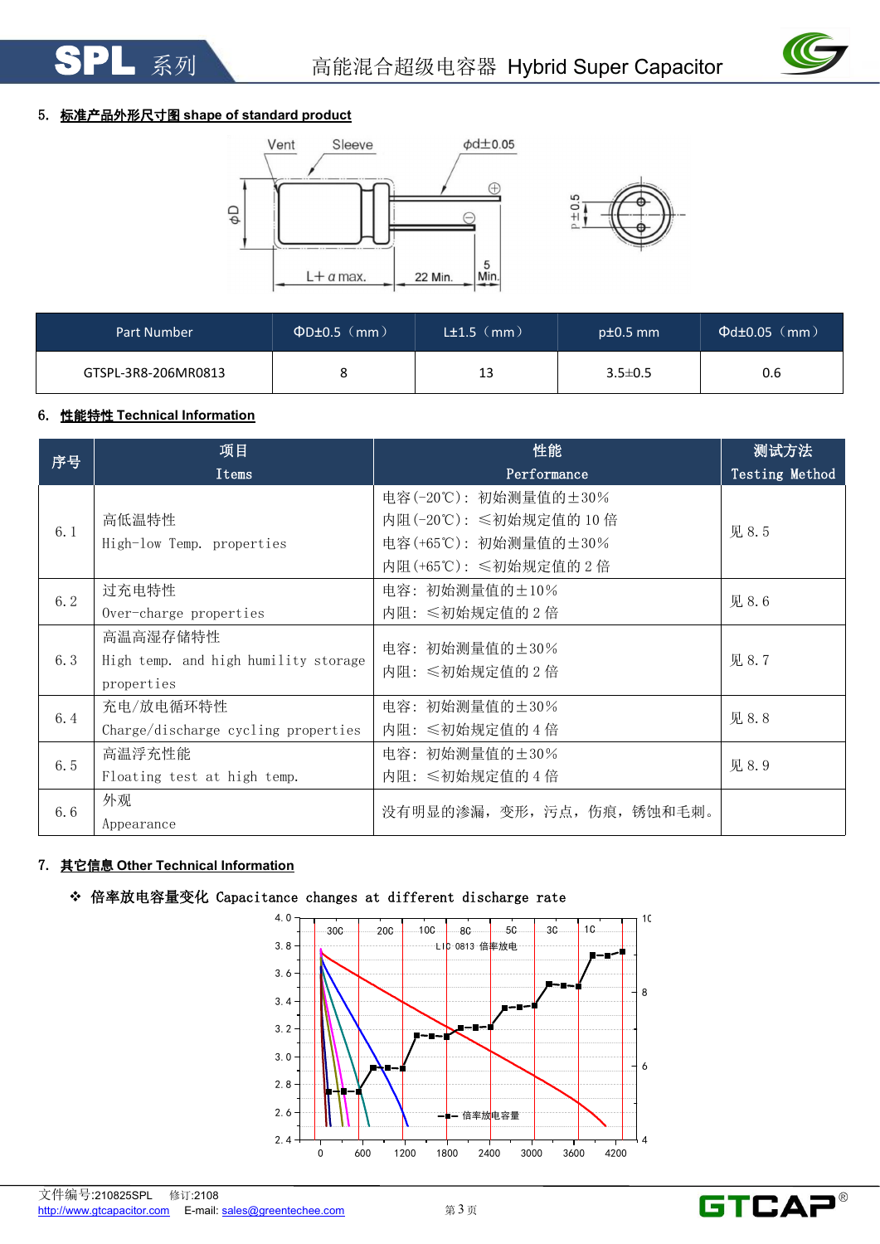

# 5. 标准产品外形尺寸图 **shape of standard product**





| Part Number         | $\Phi$ D±0.5 (mm) | L±1.5(mm) | $pt0.5$ mm    | $\Phi$ d $\pm$ 0.05 (mm) |
|---------------------|-------------------|-----------|---------------|--------------------------|
| GTSPL-3R8-206MR0813 |                   | 13        | $3.5 \pm 0.5$ | 0.6                      |

# 6. 性能特性 **Technical Information**

| 序号  | 项目                                   | 性能                          | 测试方法           |
|-----|--------------------------------------|-----------------------------|----------------|
|     | Items                                | Performance                 | Testing Method |
|     |                                      | 电容(-20℃): 初始测量值的±30%        |                |
| 6.1 | 高低温特性                                | 内阻(-20℃): ≤初始规定值的 10倍       | 见 8.5          |
|     | High-low Temp. properties            | 电容(+65℃): 初始测量值的±30%        |                |
|     |                                      | 内阻(+65℃): ≤初始规定值的2倍         |                |
| 6.2 | 过充电特性                                | 电容: 初始测量值的±10%              | 见 8.6          |
|     | Over-charge properties               | 内阻: ≤初始规定值的2倍               |                |
|     | 高温高湿存储特性                             | 电容: 初始测量值的±30%              |                |
| 6.3 | High temp. and high humility storage | 内阻: ≤初始规定值的2倍               | 见 8.7          |
|     | properties                           |                             |                |
| 6.4 | 充电/放电循环特性                            | 电容: 初始测量值的±30%              | 见 8.8          |
|     | Charge/discharge cycling properties  | 内阻: ≤初始规定值的4倍               |                |
| 6.5 | 高温浮充性能                               | 电容: 初始测量值的±30%              | 见 8.9          |
|     | Floating test at high temp.          | 内阻: ≤初始规定值的 4 倍             |                |
| 6.6 | 外观                                   | 没有明显的渗漏, 变形, 污点, 伤痕, 锈蚀和毛刺。 |                |
|     | Appearance                           |                             |                |

# 7. 其它信息 **Other Technical Information**





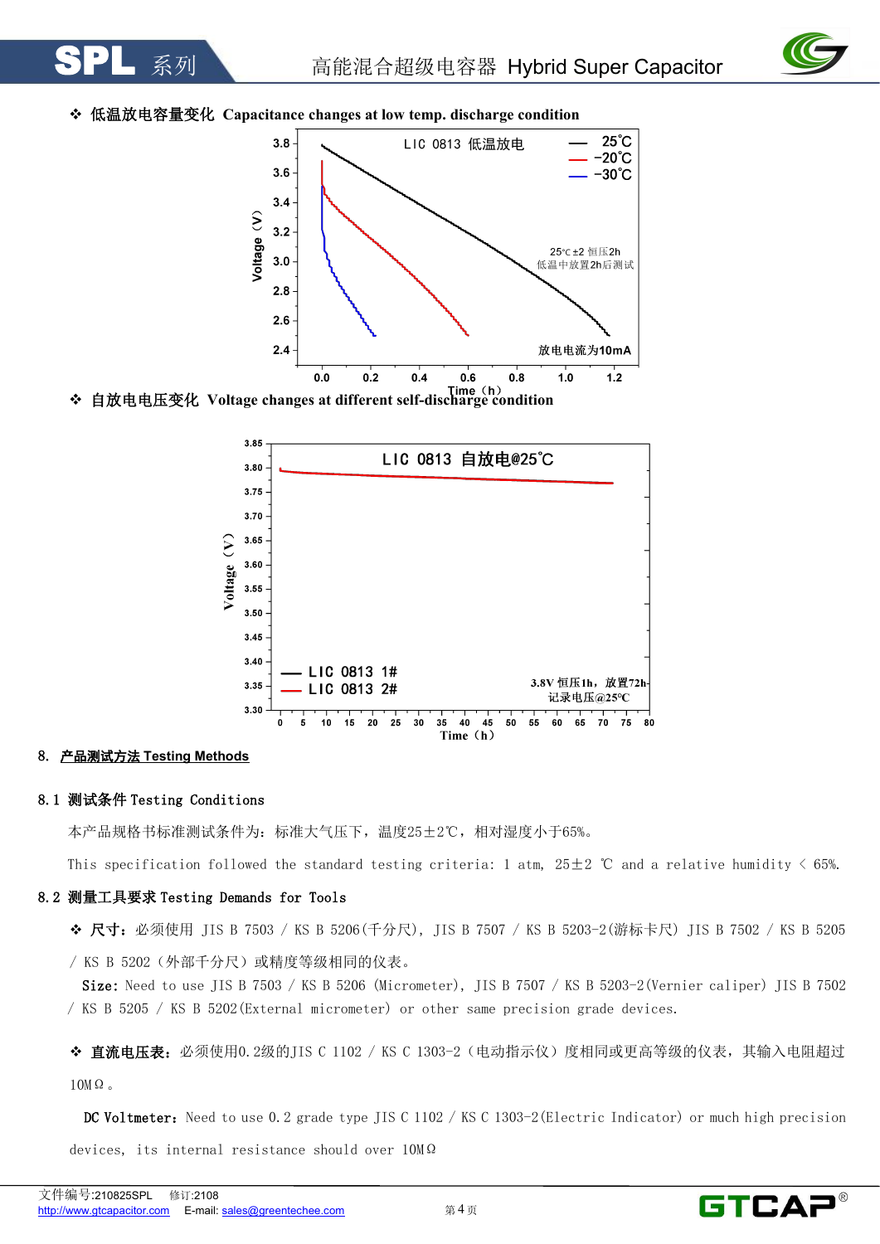

# 低温放电容量变化 **Capacitance changes atlow temp. discharge condition**



自放电电压变化 **Voltage changes atdifferent self-discharge condition**



# 8. 产品测试方法 **Testing Methods**

#### 8.1 测试条件 Testing Conditions

本产品规格书标准测试条件为:标准大气压下,温度25±2℃,相对湿度小于65%。

This specification followed the standard testing criteria: 1 atm,  $25\pm2$  °C and a relative humidity < 65%.

#### 8.2 测量工具要求 Testing Demands for Tools

◆ 尺寸: 必须使用 JIS B 7503 / KS B 5206(千分尺), JIS B 7507 / KS B 5203-2(游标卡尺) JIS B 7502 / KS B 5205

/ KS B 5202(外部千分尺)或精度等级相同的仪表。

Size: Need to use JIS B 7503 / KS B 5206 (Micrometer), JIS B 7507 / KS B 5203-2(Vernier caliper) JIS B 7502 / KS B 5205 / KS B 5202(External micrometer) or other same precision grade devices.

◆ 直流电压表: 必须使用0.2级的JIS C 1102 / KS C 1303-2 (电动指示仪) 度相同或更高等级的仪表, 其输入电阻超过  $10M\Omega$ 

DC Voltmeter: Need to use 0.2 grade type JIS C 1102 / KS C 1303-2 (Electric Indicator) or much high precision devices, its internal resistance should over 10MΩ

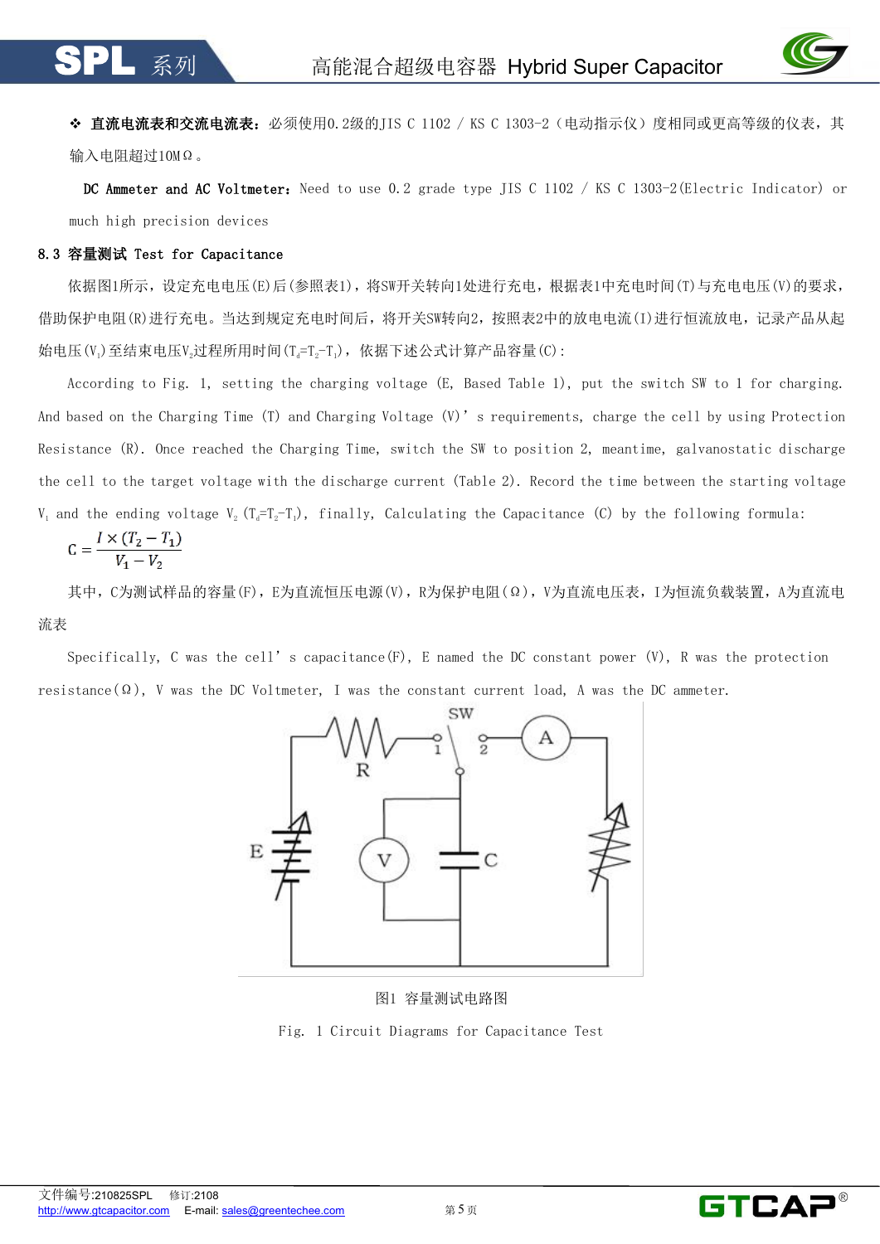

◆ 直流电流表和交流电流表: 必须使用0.2级的IIS C 1102 / KS C 1303-2 (电动指示仪) 度相同或更高等级的仪表, 其 输入电阻超过10MΩ。

DC Ammeter and AC Voltmeter: Need to use 0.2 grade type JIS C 1102 / KS C 1303-2 (Electric Indicator) or much high precision devices

# 8.3 容量测试 Test for Capacitance

依据图1所示,设定充电电压(E)后(参照表1),将SW开关转向1处进行充电,根据表1中充电时间(T)与充电电压(V)的要求, 借助保护电阻(R)进行充电。当达到规定充电时间后,将开关SW转向2,按照表2中的放电电流(I)进行恒流放电,记录产品从起 始电压(V<sub>i</sub>)至结束电压V<sub>2</sub>过程所用时间(Ta=To-T<sub>i</sub>),依据下述公式计算产品容量(C):

According to Fig. 1, setting the charging voltage (E, Based Table 1), put the switch SW to 1 for charging. And based on the Charging Time (T) and Charging Voltage (V)'s requirements, charge the cell by using Protection Resistance (R). Once reached the Charging Time, switch the SW to position 2, meantime, galvanostatic discharge the cell to the target voltage with the discharge current (Table 2). Record the time between the starting voltage V, and the ending voltage V<sub>2</sub> (T<sub>a</sub>=T<sub>2</sub>-T<sub>1</sub>), finally, Calculating the Capacitance (C) by the following formula:

$$
C = \frac{I \times (T_2 - T_1)}{V_1 - V_2}
$$

其中,C为测试样品的容量(F),E为直流恒压电源(V),R为保护电阻(Ω),V为直流电压表,I为恒流负载装置,A为直流电 流表

Specifically, C was the cell' s capacitance(F), E named the DC constant power (V), R was the protection resistance( $\Omega$ ), V was the DC Voltmeter, I was the constant current load, A was the DC ammeter.



图1 容量测试电路图

Fig. 1 Circuit Diagrams for Capacitance Test

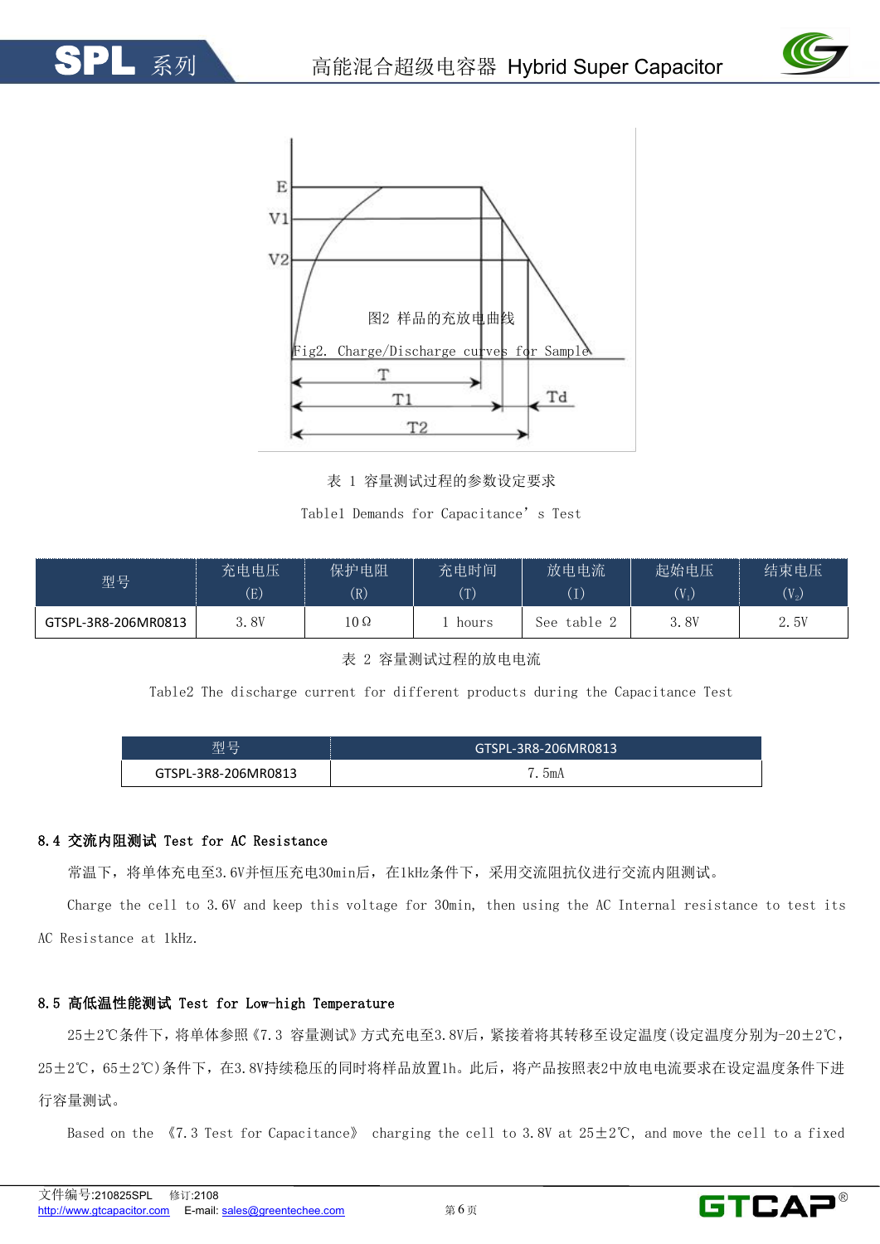



表 1 容量测试过程的参数设定要求

Table1 Demands for Capacitance's Test

| 型号                  | 充电电压     | 保护电阻       | 充电时间         | 放电电流              | 起始电压    | 结束电压               |
|---------------------|----------|------------|--------------|-------------------|---------|--------------------|
|                     | $\rm(E)$ | (R)        | $(\text{T})$ | $\left( 1\right)$ | $(V_1)$ | $(\mathrm{V}_{2})$ |
| GTSPL-3R8-206MR0813 | 3.8V     | $10\Omega$ | hours        | table .<br>See:   | 3.8V    | 2.5V               |

表 2 容量测试过程的放电电流

Table2 The discharge current for different products during the Capacitance Test

| $\Box$<br>开小<br>--<br>— | .3R8-206N<br>د ۱۵۵۵ م<br><b>GT</b><br><b>COLUM</b> |
|-------------------------|----------------------------------------------------|
| L-3R8-206MI             | bmA                                                |

# 8.4 交流内阻测试 Test for AC Resistance

常温下,将单体充电至3.6V并恒压充电30min后,在1kHz条件下,采用交流阻抗仪进行交流内阻测试。

Charge the cell to 3.6V and keep this voltage for 30min, then using the AC Internal resistance to test its AC Resistance at 1kHz.

# 8.5 高低温性能测试 Test for Low-high Temperature

25±2℃条件下,将单体参照《7.3 容量测试》方式充电至3.8V后,紧接着将其转移至设定温度(设定温度分别为-20±2℃, 25±2℃,65±2℃)条件下,在3.8V持续稳压的同时将样品放置1h。此后,将产品按照表2中放电电流要求在设定温度条件下进 行容量测试。

Based on the  $\sqrt{7.3}$  Test for Capacitance》 charging the cell to 3.8V at  $25\pm2^{\circ}$ C, and move the cell to a fixed

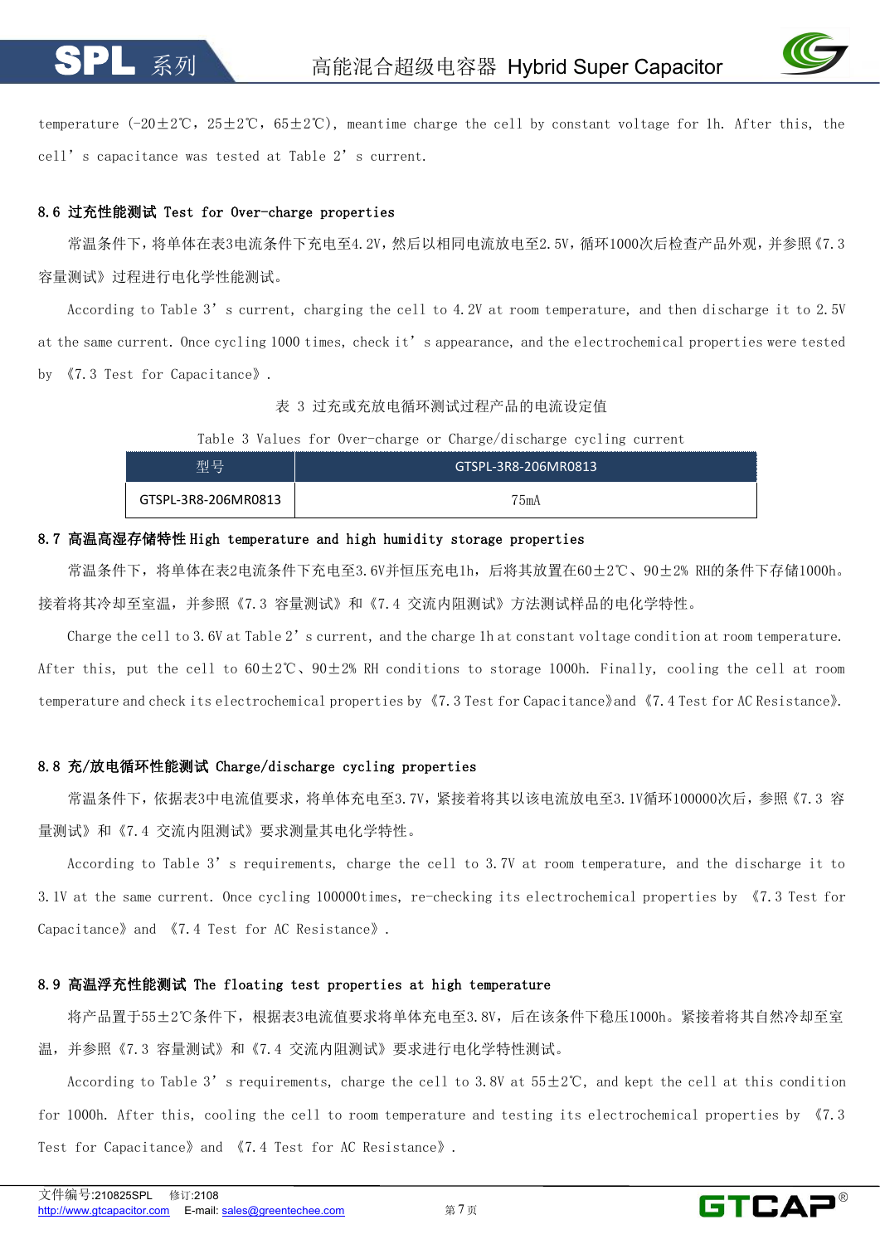

temperature  $(-20\pm2\degree C, 25\pm2\degree C, 65\pm2\degree C)$ , meantime charge the cell by constant voltage for 1h. After this, the cell's capacitance was tested at Table 2's current.

# 8.6 过充性能测试 Test for Over-charge properties

常温条件下,将单体在表3电流条件下充电至4.2V,然后以相同电流放电至2.5V,循环1000次后检查产品外观,并参照《7.3 容量测试》过程进行电化学性能测试。

According to Table 3's current, charging the cell to 4.2V at room temperature, and then discharge it to 2.5V at the same current. Once cycling 1000 times, check it's appearance, and the electrochemical properties were tested by 《7.3 Test for Capacitance》.<br>表 3 过充或充放电循环测试过程产品的电流设定值

Table 3 Values for Over-charge or Charge/discharge cycling current

| 型号                  | GTSPL-3R8-206MR0813 |
|---------------------|---------------------|
| GTSPL-3R8-206MR0813 | 75mA                |

# 8.7 高温高湿存储特性 High temperature and high humidity storage properties

常温条件下,将单体在表2电流条件下充电至3.6V并恒压充电1h,后将其放置在60±2℃、90±2% RH的条件下存储1000h。 接着将其冷却至室温,并参照《7.3 容量测试》和《7.4 交流内阻测试》方法测试样品的电化学特性。

Charge the cell to 3.6V at Table 2's current, and the charge 1h at constant voltage condition at room temperature. After this, put the cell to  $60\pm2\degree$ C,  $90\pm2\degree$  RH conditions to storage 1000h. Finally, cooling the cell at room temperature and check its electrochemical properties by《7.3 Test for Capacitance》and《7.4 Test for AC Resistance》.

# 8.8 充/放电循环性能测试 Charge/discharge cycling properties

常温条件下,依据表3中电流值要求,将单体充电至3.7V,紧接着将其以该电流放电至3.1V循环100000次后,参照《7.3 容 量测试》和《7.4 交流内阻测试》要求测量其电化学特性。

According to Table 3's requirements, charge the cell to 3.7V at room temperature, and the discharge it to 3.1V at the same current. Once cycling 100000times, re-checking its electrochemical properties by 《7.3 Test for Capacitance》and 《7.4 Test for AC Resistance》.

# 8.9 高温浮充性能测试 The floating test properties at high temperature

将产品置于55±2℃条件下,根据表3电流值要求将单体充电至3.8V,后在该条件下稳压1000h。紧接着将其自然冷却至室 温,并参照《7.3 容量测试》和《7.4 交流内阻测试》要求进行电化学特性测试。

According to Table 3's requirements, charge the cell to 3.8V at  $55\pm2\degree$ C, and kept the cell at this condition for 1000h. After this, cooling the cell to room temperature and testing its electrochemical properties by 《7.3 Test for Capacitance》and 《7.4 Test for AC Resistance》.

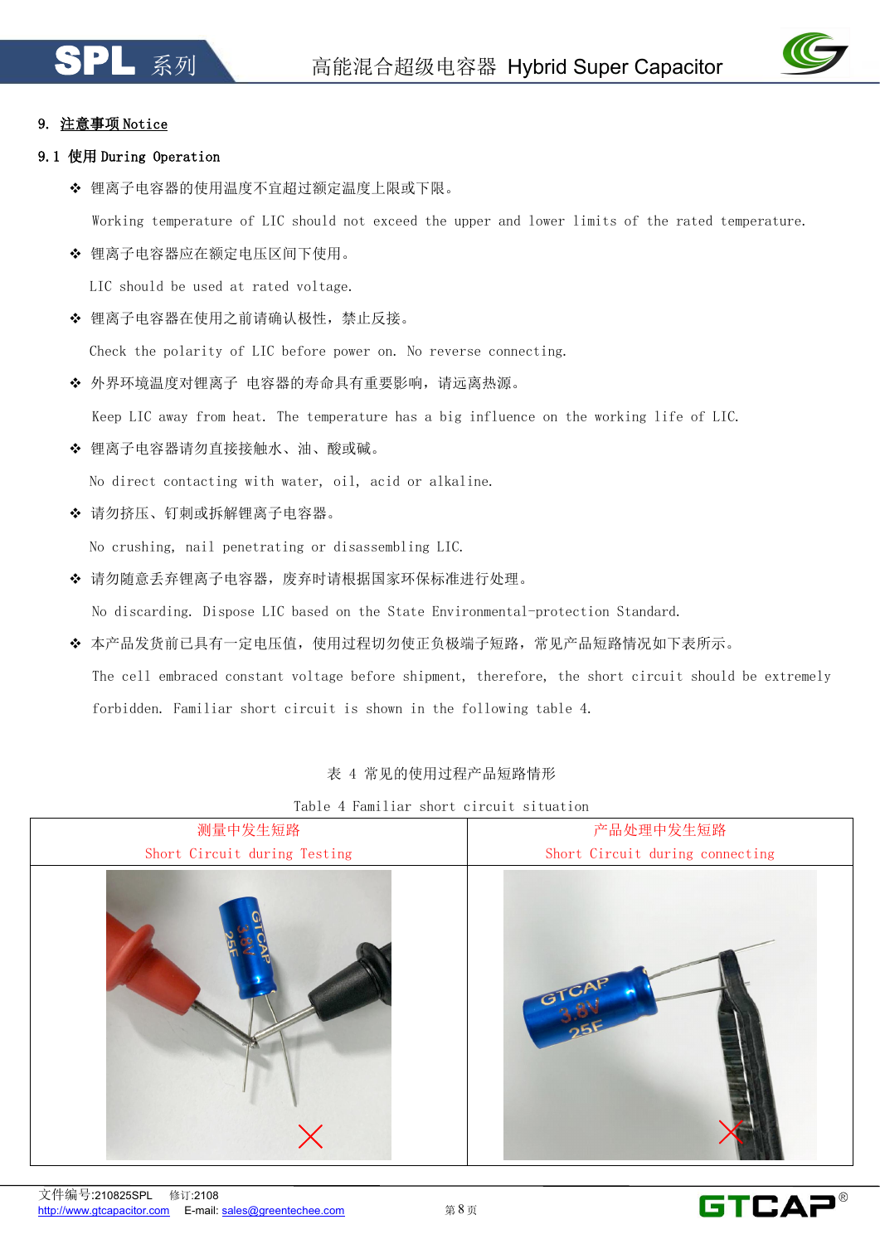

# 9. 注意事项 Notice

# 9.1 使用 During Operation

◆ 锂离子电容器的使用温度不宜超过额定温度上限或下限。

Working temperature of LIC should not exceed the upper and lower limits of the rated temperature.

◆ 锂离子电容器应在额定电压区间下使用。

LIC should be used at rated voltage.

◆ 锂离子电容器在使用之前请确认极性, 禁止反接。

Check the polarity of LIC before power on. No reverse connecting.

◆ 外界环境温度对锂离子 电容器的寿命具有重要影响,请远离热源。

Keep LIC away from heat. The temperature has a big influence on the working life of LIC.

锂离子电容器请勿直接接触水、油、酸或碱。

No direct contacting with water, oil, acid or alkaline.

请勿挤压、钉刺或拆解锂离子电容器。

No crushing, nail penetrating or disassembling LIC.

◆ 请勿随意丢弃锂离子电容器, 废弃时请根据国家环保标准进行处理。

No discarding. Dispose LIC based on the State Environmental-protection Standard.

本产品发货前已具有一定电压值,使用过程切勿使正负极端子短路,常见产品短路情况如下表所示。

The cell embraced constant voltage before shipment, therefore, the short circuit should be extremely forbidden. Familiar short circuit is shown in the following table 4.

# 表 4 常见的使用过程产品短路情形

Table 4 Familiar short circuit situation